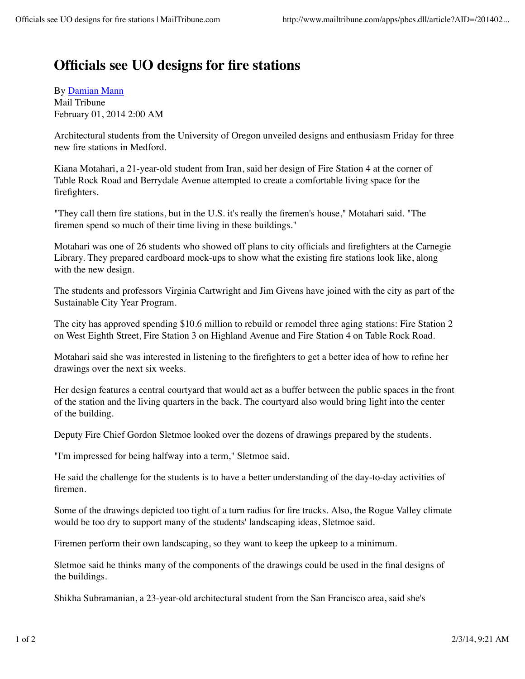## **Officials see UO designs for fire stations**

By Damian Mann Mail Tribune February 01, 2014 2:00 AM

Architectural students from the University of Oregon unveiled designs and enthusiasm Friday for three new fire stations in Medford.

Kiana Motahari, a 21-year-old student from Iran, said her design of Fire Station 4 at the corner of Table Rock Road and Berrydale Avenue attempted to create a comfortable living space for the firefighters.

"They call them fire stations, but in the U.S. it's really the firemen's house," Motahari said. "The firemen spend so much of their time living in these buildings."

Motahari was one of 26 students who showed off plans to city officials and firefighters at the Carnegie Library. They prepared cardboard mock-ups to show what the existing fire stations look like, along with the new design.

The students and professors Virginia Cartwright and Jim Givens have joined with the city as part of the Sustainable City Year Program.

The city has approved spending \$10.6 million to rebuild or remodel three aging stations: Fire Station 2 on West Eighth Street, Fire Station 3 on Highland Avenue and Fire Station 4 on Table Rock Road.

Motahari said she was interested in listening to the firefighters to get a better idea of how to refine her drawings over the next six weeks.

Her design features a central courtyard that would act as a buffer between the public spaces in the front of the station and the living quarters in the back. The courtyard also would bring light into the center of the building.

Deputy Fire Chief Gordon Sletmoe looked over the dozens of drawings prepared by the students.

"I'm impressed for being halfway into a term," Sletmoe said.

He said the challenge for the students is to have a better understanding of the day-to-day activities of firemen.

Some of the drawings depicted too tight of a turn radius for fire trucks. Also, the Rogue Valley climate would be too dry to support many of the students' landscaping ideas, Sletmoe said.

Firemen perform their own landscaping, so they want to keep the upkeep to a minimum.

Sletmoe said he thinks many of the components of the drawings could be used in the final designs of the buildings.

Shikha Subramanian, a 23-year-old architectural student from the San Francisco area, said she's